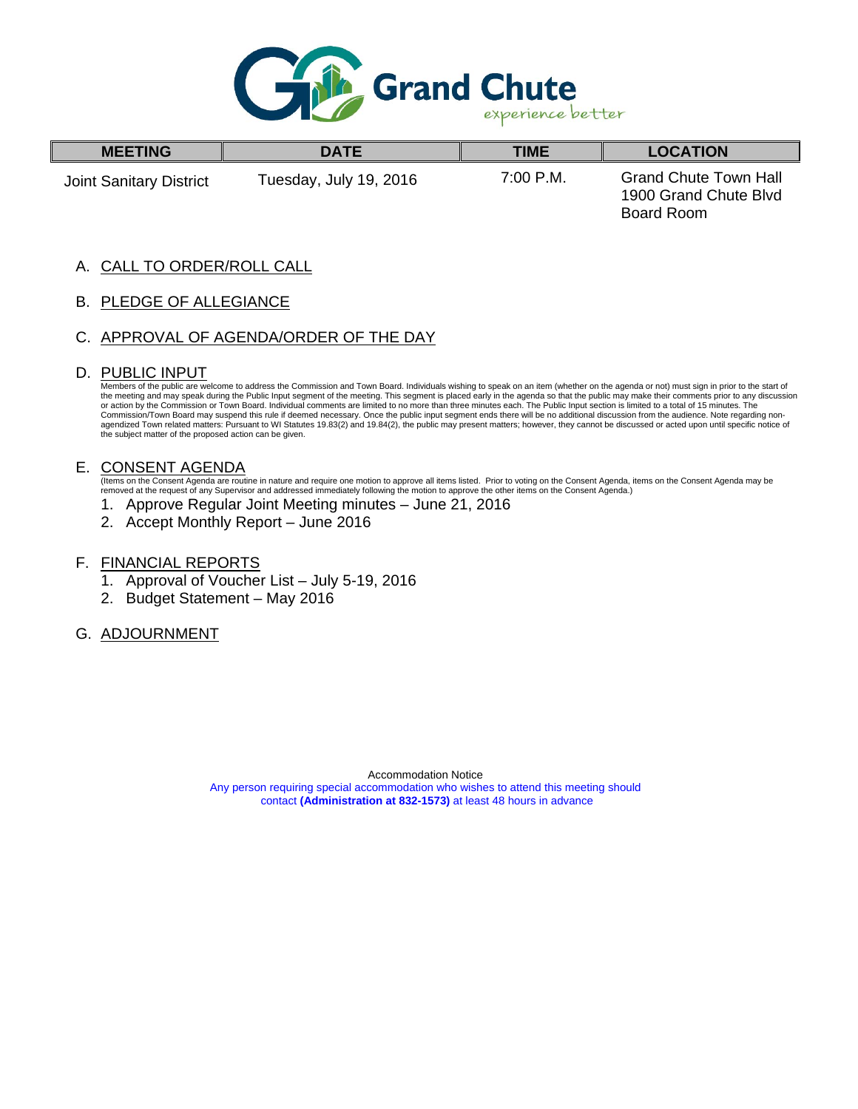

| <b>MEETING</b>          | <b>DATE</b>            | TIME      | <b>LOCATION</b>                                                     |
|-------------------------|------------------------|-----------|---------------------------------------------------------------------|
| Joint Sanitary District | Tuesday, July 19, 2016 | 7:00 P.M. | <b>Grand Chute Town Hall</b><br>1900 Grand Chute Blvd<br>Board Room |

#### A. CALL TO ORDER/ROLL CALL

B. PLEDGE OF ALLEGIANCE

#### C. APPROVAL OF AGENDA/ORDER OF THE DAY

#### D. PUBLIC INPUT

I

Members of the public are welcome to address the Commission and Town Board. Individuals wishing to speak on an item (whether on the agenda or not) must sign in prior to the start of<br>the meeting and may speak during the Pub the subject matter of the proposed action can be given.

#### E. CONSENT AGENDA

(Items on the Consent Agenda are routine in nature and require one motion to approve all items listed. Prior to voting on the Consent Agenda, items on the Consent Agenda may be removed at the request of any Supervisor and addressed immediately following the motion to approve the other items on the Consent Agenda.)

- 1. Approve Regular Joint Meeting minutes June 21, 2016
- 2. Accept Monthly Report June 2016
- F. FINANCIAL REPORTS
	- 1. Approval of Voucher List July 5-19, 2016
	- 2. Budget Statement May 2016

#### G. ADJOURNMENT

Accommodation Notice Any person requiring special accommodation who wishes to attend this meeting should contact **(Administration at 832-1573)** at least 48 hours in advance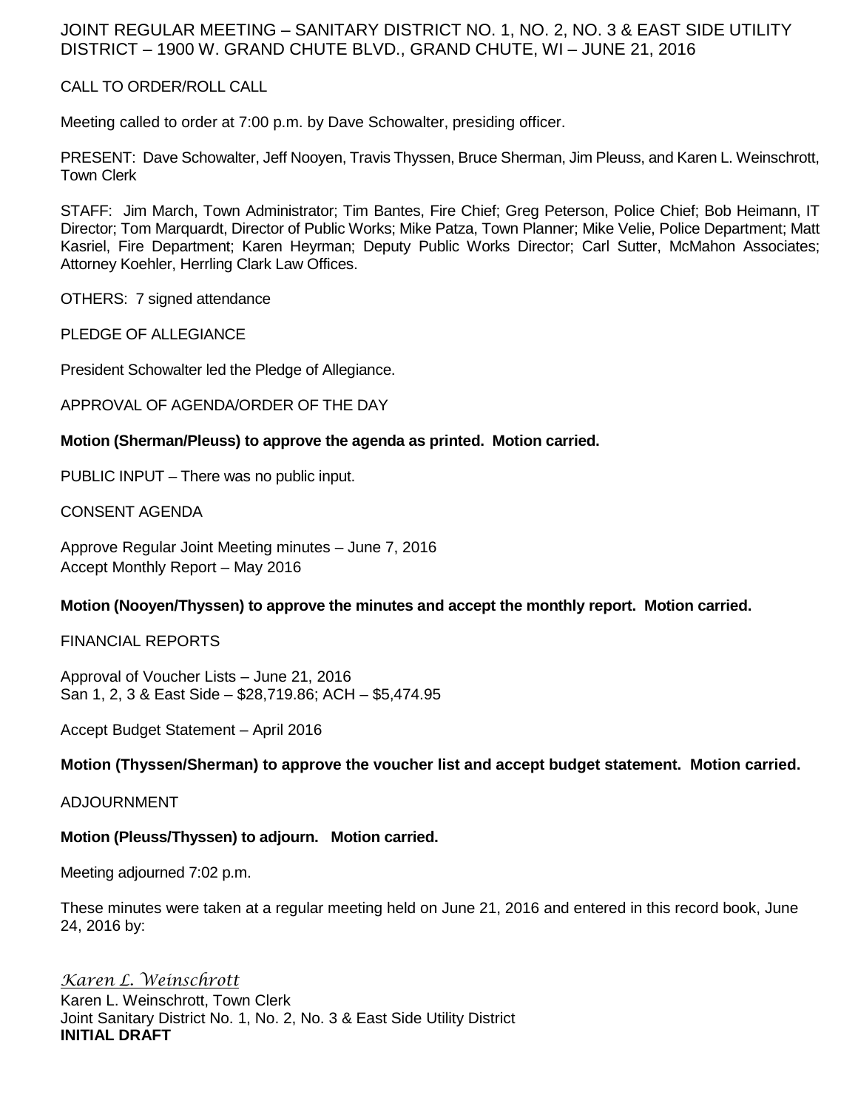### JOINT REGULAR MEETING – SANITARY DISTRICT NO. 1, NO. 2, NO. 3 & EAST SIDE UTILITY DISTRICT – 1900 W. GRAND CHUTE BLVD., GRAND CHUTE, WI – JUNE 21, 2016

#### CALL TO ORDER/ROLL CALL

Meeting called to order at 7:00 p.m. by Dave Schowalter, presiding officer.

PRESENT: Dave Schowalter, Jeff Nooyen, Travis Thyssen, Bruce Sherman, Jim Pleuss, and Karen L. Weinschrott, Town Clerk

STAFF: Jim March, Town Administrator; Tim Bantes, Fire Chief; Greg Peterson, Police Chief; Bob Heimann, IT Director; Tom Marquardt, Director of Public Works; Mike Patza, Town Planner; Mike Velie, Police Department; Matt Kasriel, Fire Department; Karen Heyrman; Deputy Public Works Director; Carl Sutter, McMahon Associates; Attorney Koehler, Herrling Clark Law Offices.

OTHERS: 7 signed attendance

PLEDGE OF ALLEGIANCE

President Schowalter led the Pledge of Allegiance.

APPROVAL OF AGENDA/ORDER OF THE DAY

#### **Motion (Sherman/Pleuss) to approve the agenda as printed. Motion carried.**

PUBLIC INPUT – There was no public input.

CONSENT AGENDA

Approve Regular Joint Meeting minutes – June 7, 2016 Accept Monthly Report – May 2016

**Motion (Nooyen/Thyssen) to approve the minutes and accept the monthly report. Motion carried.**

FINANCIAL REPORTS

Approval of Voucher Lists – June 21, 2016 San 1, 2, 3 & East Side – \$28,719.86; ACH – \$5,474.95

Accept Budget Statement – April 2016

**Motion (Thyssen/Sherman) to approve the voucher list and accept budget statement. Motion carried.**

ADJOURNMENT

#### **Motion (Pleuss/Thyssen) to adjourn. Motion carried.**

Meeting adjourned 7:02 p.m.

These minutes were taken at a regular meeting held on June 21, 2016 and entered in this record book, June 24, 2016 by:

*Karen L. Weinschrott* Karen L. Weinschrott, Town Clerk Joint Sanitary District No. 1, No. 2, No. 3 & East Side Utility District **INITIAL DRAFT**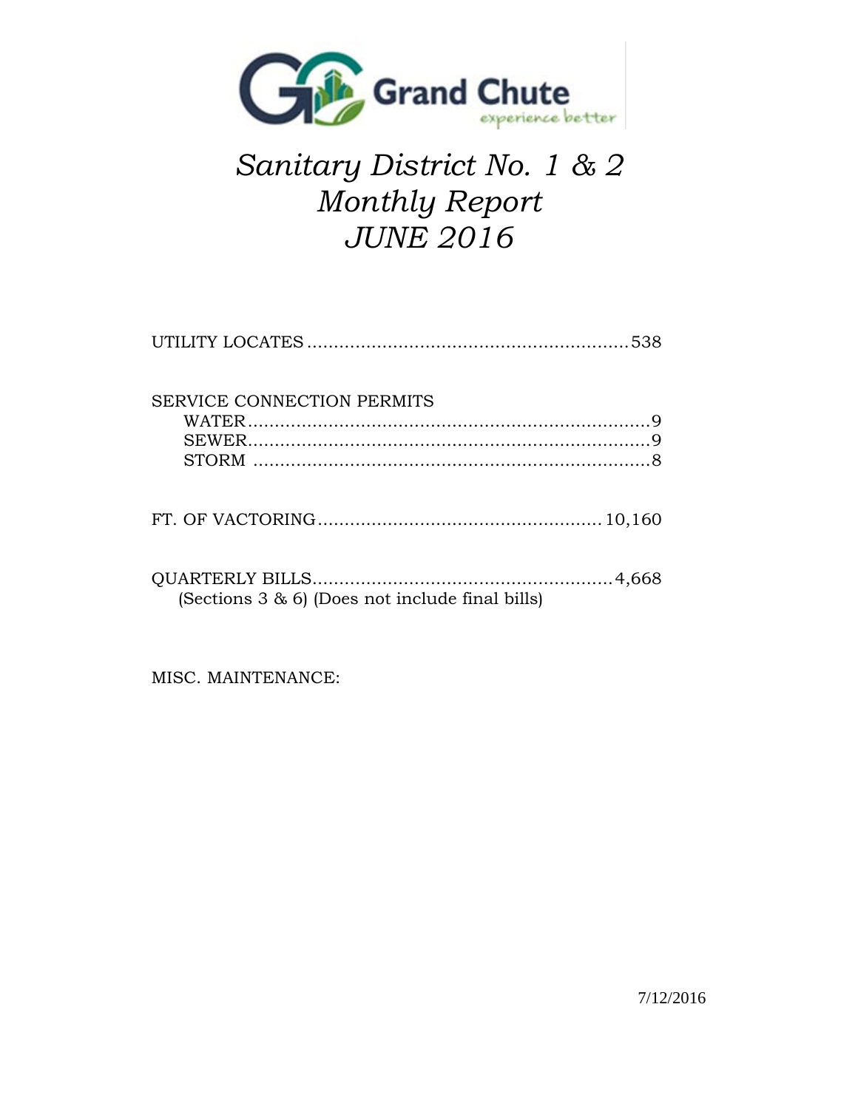

# *Sanitary District No. 1 & 2 Monthly Report JUNE 2016*

| SERVICE CONNECTION PERMITS                          |  |
|-----------------------------------------------------|--|
|                                                     |  |
| (Sections $3 \& 6$ ) (Does not include final bills) |  |

MISC. MAINTENANCE: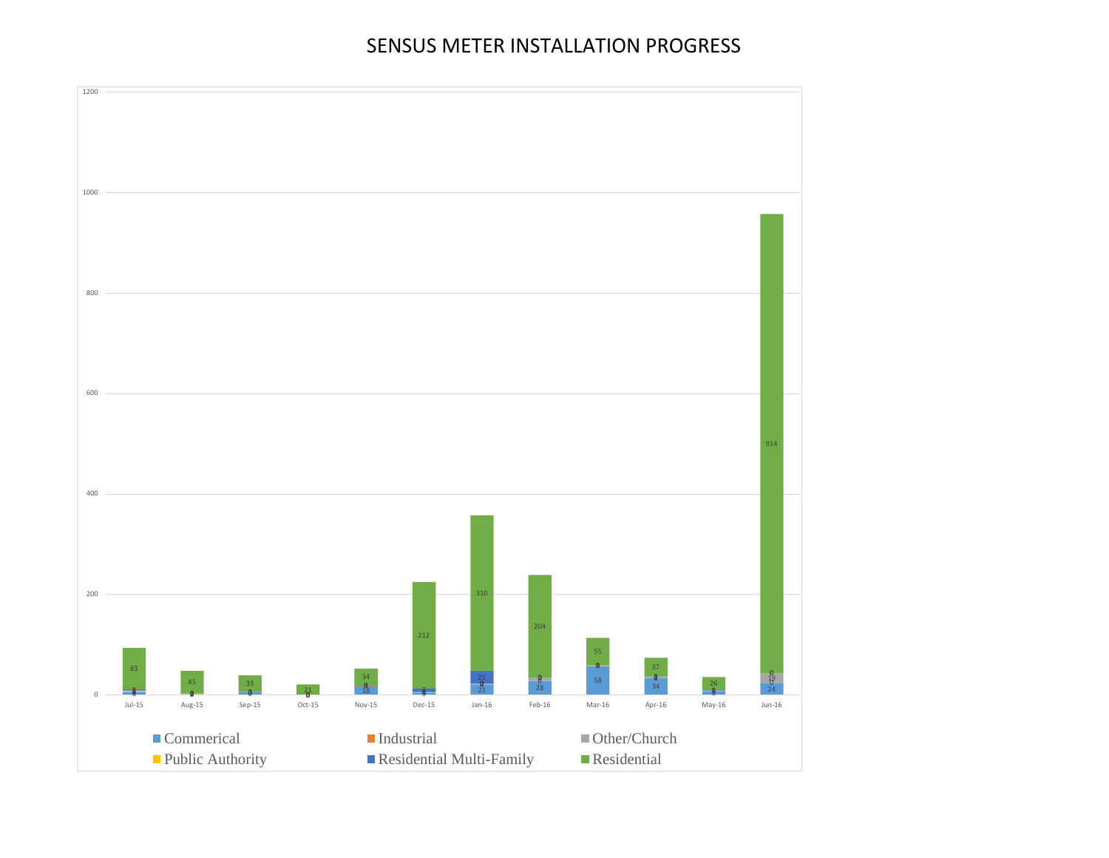## SENSUS METER INSTALLATION PROGRESS

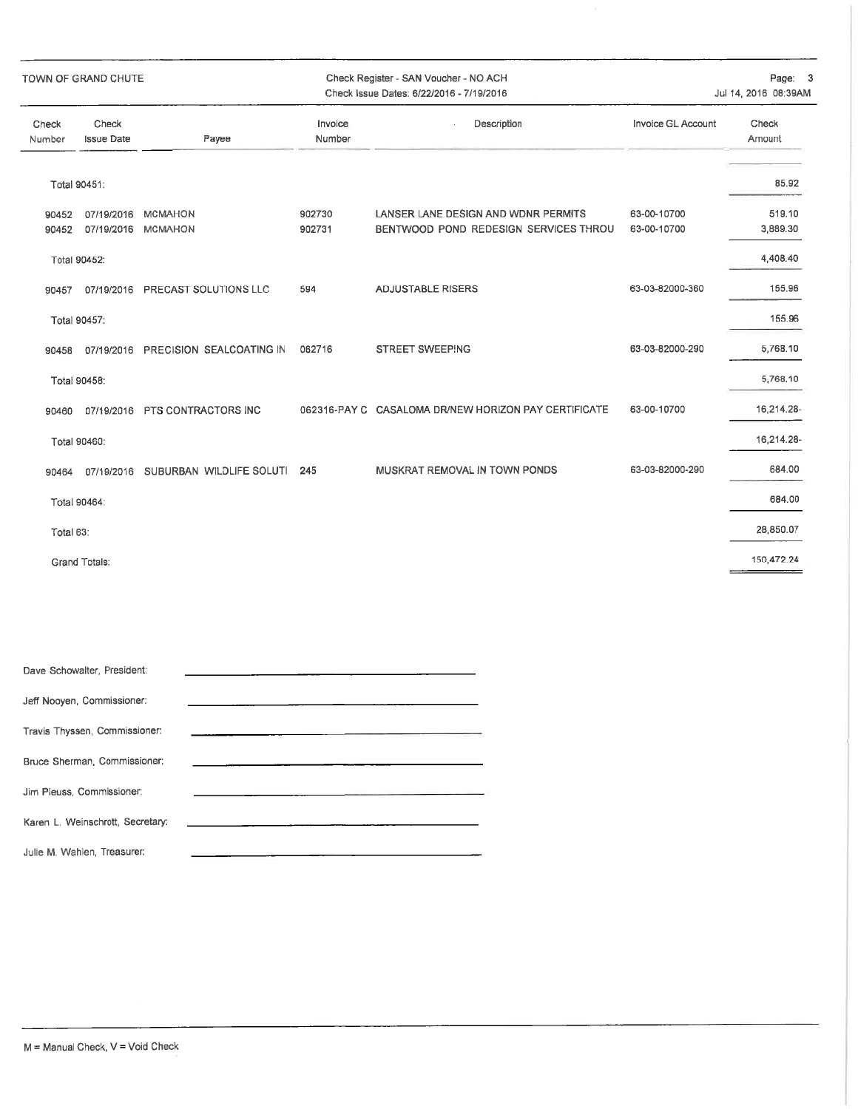|                 | TOWN OF GRAND CHUTE        |                                     |                   | Check Register - SAN Voucher - NO ACH<br>Check Issue Dates: 6/22/2016 - 7/19/2016 |                            | Page:<br>Jul 14, 2016 08:39AM |
|-----------------|----------------------------|-------------------------------------|-------------------|-----------------------------------------------------------------------------------|----------------------------|-------------------------------|
| Check<br>Number | Check<br><b>Issue Date</b> | Payee                               | Invoice<br>Number | Description                                                                       | Invoice GL Account         | Check<br>Amount               |
|                 | Total 90451:               |                                     |                   |                                                                                   |                            | 85.92                         |
| 90452<br>90452  | 07/19/2016<br>07/19/2016   | <b>MCMAHON</b><br><b>MCMAHON</b>    | 902730<br>902731  | LANSER LANE DESIGN AND WDNR PERMITS<br>BENTWOOD POND REDESIGN SERVICES THROU      | 63-00-10700<br>63-00-10700 | 519.10<br>3,889.30            |
|                 | Total 90452:               |                                     |                   |                                                                                   |                            | 4,408.40                      |
| 90457           | 07/19/2016                 | PRECAST SOLUTIONS LLC               | 594               | <b>ADJUSTABLE RISERS</b>                                                          | 63-03-82000-360            | 155.96                        |
|                 | Total 90457:               |                                     |                   |                                                                                   |                            | 155.96                        |
| 90458           |                            | 07/19/2016 PRECISION SEALCOATING IN | 062716            | STREET SWEEPING                                                                   | 63-03-82000-290            | 5,768.10                      |
|                 | Total 90458:               |                                     |                   |                                                                                   |                            | 5,768.10                      |
| 90460           |                            | 07/19/2016 PTS CONTRACTORS INC      |                   | 062316-PAY C CASALOMA DR/NEW HORIZON PAY CERTIFICATE                              | 63-00-10700                | 16,214.28-                    |
|                 | Total 90460:               |                                     |                   |                                                                                   |                            | 16,214.28-                    |
| 90464           |                            | 07/19/2016 SUBURBAN WILDLIFE SOLUTI | 245               | MUSKRAT REMOVAL IN TOWN PONDS                                                     | 63-03-82000-290            | 684.00                        |
|                 | Total 90464:               |                                     |                   |                                                                                   |                            | 684.00                        |
| Total 63:       |                            |                                     |                   |                                                                                   |                            | 28,850.07                     |
|                 | <b>Grand Totals:</b>       |                                     |                   |                                                                                   |                            | 150,472.24                    |

| Dave Schowalter, President:      |                                                                                                                                                                                                                               |
|----------------------------------|-------------------------------------------------------------------------------------------------------------------------------------------------------------------------------------------------------------------------------|
| Jeff Nooyen, Commissioner:       | <u> 1980 - Jan Samuel Barbara, martin di salah sebagai kecamatan dalam kecamatan dalam kecamatan dalam kecamatan </u>                                                                                                         |
| Travis Thyssen, Commissioner:    | the contract of the contract of the contract of the contract of the contract of the contract of                                                                                                                               |
| Bruce Sherman, Commissioner:     |                                                                                                                                                                                                                               |
| Jim Pleuss, Commissioner:        | the control of the control of the control of the control of the control of the control of the control of the control of the control of the control of the control of the control of the control of the control of the control |
| Karen L. Weinschrott, Secretary: | <u> 1980 - Jan Stein Berlin, amerikan besteht in de staat fan de Fryske kommer</u>                                                                                                                                            |
| Julie M. Wahlen, Treasurer:      |                                                                                                                                                                                                                               |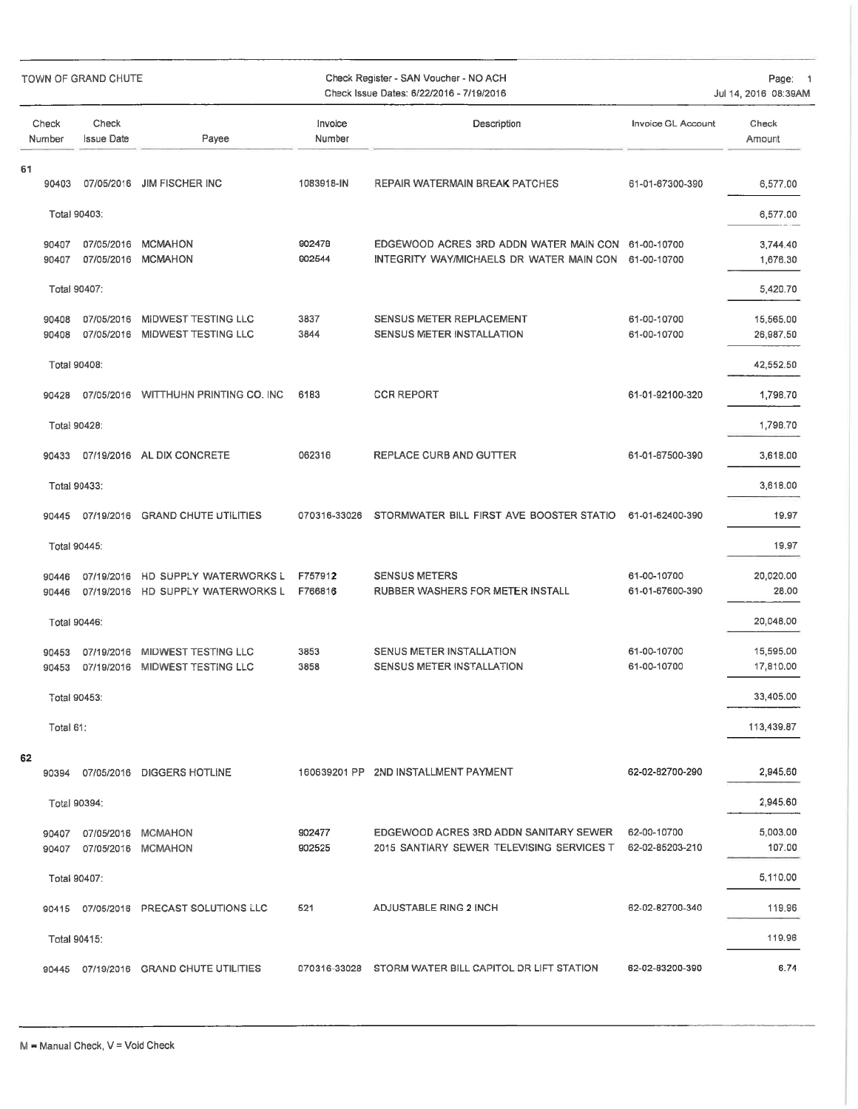|    |                 | TOWN OF GRAND CHUTE        |                                                       |                    | Check Register - SAN Voucher - NO ACH<br>Check Issue Dates: 6/22/2016 - 7/19/2016              |                                | Page: 1<br>Jul 14, 2016 08:39AM |  |
|----|-----------------|----------------------------|-------------------------------------------------------|--------------------|------------------------------------------------------------------------------------------------|--------------------------------|---------------------------------|--|
|    | Check<br>Number | Check<br><b>Issue Date</b> | Payee                                                 | Invoice<br>Number  | Description                                                                                    | <b>Invoice GL Account</b>      | Check<br>Amount                 |  |
| 61 | 90403           | 07/05/2016                 | <b>JIM FISCHER INC</b>                                | 1083918-IN         | REPAIR WATERMAIN BREAK PATCHES                                                                 | 61-01-67300-390                | 6,577.00                        |  |
|    |                 | Total 90403:               |                                                       |                    |                                                                                                |                                | 6,577.00                        |  |
|    | 90407<br>90407  | 07/05/2016<br>07/05/2016   | <b>MCMAHON</b><br>MCMAHON                             | 902478<br>902544   | EDGEWOOD ACRES 3RD ADDN WATER MAIN CON 61-00-10700<br>INTEGRITY WAY/MICHAELS DR WATER MAIN CON | 61-00-10700                    | 3,744.40<br>1,676.30            |  |
|    |                 | Total 90407:               |                                                       |                    |                                                                                                |                                | 5,420.70                        |  |
|    | 90408<br>90408  | 07/05/2016                 | MIDWEST TESTING LLC<br>07/05/2016 MIDWEST TESTING LLC | 3837<br>3844       | SENSUS METER REPLACEMENT<br>SENSUS METER INSTALLATION                                          | 61-00-10700<br>61-00-10700     | 15,565.00<br>26,987,50          |  |
|    | Total 90408:    |                            |                                                       |                    |                                                                                                |                                | 42,552.50                       |  |
|    | 90428           |                            | 07/05/2016 WITTHUHN PRINTING CO. INC                  | 6183               | <b>CCR REPORT</b>                                                                              | 61-01-92100-320                | 1,798.70                        |  |
|    | Total 90428:    |                            |                                                       |                    |                                                                                                |                                | 1,798.70                        |  |
|    | 90433           |                            | 07/19/2016 AL DIX CONCRETE                            | 062316             | REPLACE CURB AND GUTTER                                                                        | 61-01-67500-390                | 3,618.00                        |  |
|    |                 | Total 90433:               |                                                       |                    |                                                                                                |                                | 3,618.00                        |  |
|    | 90445           | 07/19/2016                 | <b>GRAND CHUTE UTILITIES</b>                          | 070316-33026       | STORMWATER BILL FIRST AVE BOOSTER STATIO                                                       | 61-01-62400-390                | 19.97                           |  |
|    | Total 90445:    |                            |                                                       |                    |                                                                                                |                                | 19,97                           |  |
|    | 90446<br>90446  | 07/19/2016<br>07/19/2016   | HD SUPPLY WATERWORKS L<br>HD SUPPLY WATERWORKS L      | F757912<br>F766816 | <b>SENSUS METERS</b><br>RUBBER WASHERS FOR METER INSTALL                                       | 61-00-10700<br>61-01-67600-390 | 20,020.00<br>28.00              |  |
|    | Total 90446:    |                            |                                                       |                    |                                                                                                |                                | 20,048.00                       |  |
|    | 90453<br>90453  | 07/19/2016<br>07/19/2016   | MIDWEST TESTING LLC<br>MIDWEST TESTING LLC            | 3853<br>3858       | SENUS METER INSTALLATION<br>SENSUS METER INSTALLATION                                          | 61-00-10700<br>61-00-10700     | 15,595.00<br>17,810.00          |  |
|    |                 | Total 90453:               |                                                       |                    |                                                                                                |                                | 33,405.00                       |  |
|    | Total 61:       |                            |                                                       |                    |                                                                                                |                                | 113,439.87                      |  |
| 62 | 90394           |                            | 07/05/2016 DIGGERS HOTLINE                            |                    | 160639201 PP 2ND INSTALLMENT PAYMENT                                                           | 62-02-82700-290                | 2,945.60                        |  |
|    |                 | Total 90394:               |                                                       |                    |                                                                                                |                                | 2,945.60                        |  |
|    | 90407<br>90407  |                            | 07/05/2016 MCMAHON<br>07/05/2016 MCMAHON              | 902477<br>902525   | EDGEWOOD ACRES 3RD ADDN SANITARY SEWER<br>2015 SANTIARY SEWER TELEVISING SERVICES T            | 62-00-10700<br>62-02-85203-210 | 5,003.00<br>107.00              |  |
|    |                 | Total 90407:               |                                                       |                    |                                                                                                |                                | 5,110.00                        |  |
|    |                 |                            | 90415 07/05/2016 PRECAST SOLUTIONS LLC                | 521                | ADJUSTABLE RING 2 INCH                                                                         | 62-02-82700-340                | 119.96                          |  |
|    |                 | Total 90415:               |                                                       |                    |                                                                                                |                                | 119.96                          |  |
|    | 90445           |                            | 07/19/2016 GRAND CHUTE UTILITIES                      |                    | 070316-33028 STORM WATER BILL CAPITOL DR LIFT STATION                                          | 62-02-83200-390                | 6.74                            |  |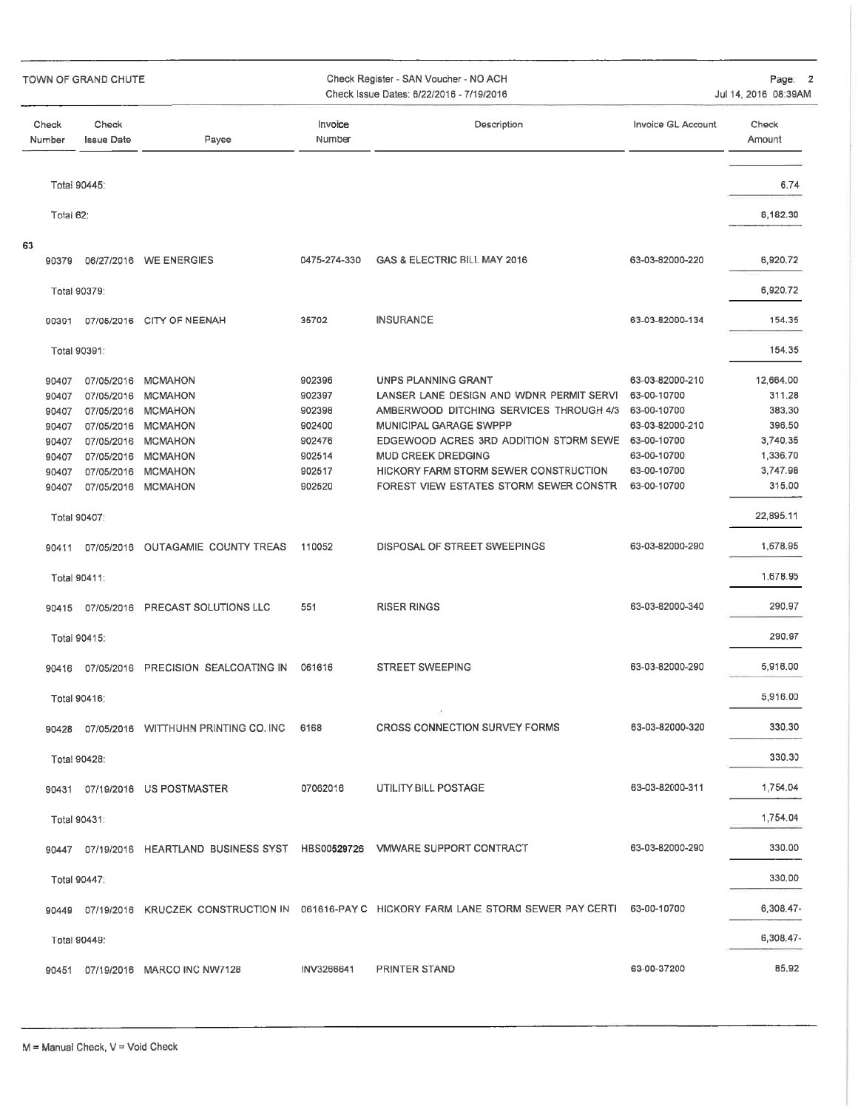| Check Register - SAN Voucher - NO ACH<br>TOWN OF GRAND CHUTE<br>Check Issue Dates: 6/22/2016 - 7/19/2016 |                            |                                      | Page: 2<br>Jul 14, 2016 08:39AM |                                                                                                     |                    |                 |
|----------------------------------------------------------------------------------------------------------|----------------------------|--------------------------------------|---------------------------------|-----------------------------------------------------------------------------------------------------|--------------------|-----------------|
| Check<br>Number                                                                                          | Check<br><b>Issue Date</b> | Payee                                | Invoice<br>Number               | Description                                                                                         | Invoice GL Account | Check<br>Amount |
|                                                                                                          | Total 90445:               |                                      |                                 |                                                                                                     |                    | 6.74            |
| Total 62:                                                                                                |                            |                                      |                                 |                                                                                                     |                    | 8,182.30        |
| 63                                                                                                       |                            |                                      |                                 |                                                                                                     |                    |                 |
| 90379                                                                                                    |                            | 06/27/2016 WE ENERGIES               | 0475-274-330                    | GAS & ELECTRIC BILL MAY 2016                                                                        | 63-03-82000-220    | 6,920.72        |
|                                                                                                          | Total 90379:               |                                      |                                 |                                                                                                     |                    | 6,920.72        |
| 90391                                                                                                    |                            | 07/05/2016 CITY OF NEENAH            | 35702                           | <b>INSURANCE</b>                                                                                    | 63-03-82000-134    | 154.35          |
|                                                                                                          | Total 90391:               |                                      |                                 |                                                                                                     |                    | 154.35          |
| 90407                                                                                                    | 07/05/2016                 | <b>MCMAHON</b>                       | 902396                          | UNPS PLANNING GRANT                                                                                 | 63-03-82000-210    | 12,664.00       |
| 90407                                                                                                    |                            | 07/05/2016 MCMAHON                   | 902397                          | LANSER LANE DESIGN AND WDNR PERMIT SERVI                                                            | 63-00-10700        | 311.28          |
| 90407                                                                                                    | 07/05/2016                 | <b>MCMAHON</b>                       | 902398                          | AMBERWOOD DITCHING SERVICES THROUGH 4/3                                                             | 63-00-10700        | 383,30          |
| 90407                                                                                                    |                            | 07/05/2016 MCMAHON                   | 902400                          | MUNICIPAL GARAGE SWPPP                                                                              | 63-03-82000-210    | 396.50          |
| 90407                                                                                                    | 07/05/2016                 | <b>MCMAHON</b>                       | 902476                          | EDGEWOOD ACRES 3RD ADDITION STORM SEWE 63-00-10700                                                  |                    | 3,740.35        |
| 90407                                                                                                    | 07/05/2016                 | <b>MCMAHON</b>                       | 902514                          | <b>MUD CREEK DREDGING</b>                                                                           | 63-00-10700        | 1,336.70        |
| 90407                                                                                                    | 07/05/2016                 | <b>MCMAHON</b>                       | 902517                          | HICKORY FARM STORM SEWER CONSTRUCTION                                                               | 63-00-10700        | 3,747.98        |
| 90407                                                                                                    |                            | 07/05/2016 MCMAHON                   | 902520                          | FOREST VIEW ESTATES STORM SEWER CONSTR                                                              | 63-00-10700        | 315.00          |
|                                                                                                          | Total 90407:               |                                      |                                 |                                                                                                     |                    | 22,895.11       |
| 90411                                                                                                    |                            | 07/05/2016 OUTAGAMIE COUNTY TREAS    | 110052                          | DISPOSAL OF STREET SWEEPINGS                                                                        | 63-03-82000-290    | 1,678.95        |
|                                                                                                          | Total 90411:               |                                      |                                 |                                                                                                     |                    | 1,678.95        |
| 90415                                                                                                    |                            | 07/05/2016 PRECAST SOLUTIONS LLC     | 551                             | <b>RISER RINGS</b>                                                                                  | 63-03-82000-340    | 290.97          |
|                                                                                                          | Total 90415:               |                                      |                                 |                                                                                                     |                    | 290.97          |
| 90416                                                                                                    |                            | 07/05/2016 PRECISION SEALCOATING IN  | 061616                          | <b>STREET SWEEPING</b>                                                                              | 63-03-82000-290    | 5,916.00        |
|                                                                                                          | Total 90416:               |                                      |                                 |                                                                                                     |                    | 5,916.00        |
| 90428                                                                                                    |                            | 07/05/2016 WITTHUHN PRINTING CO. INC | 6168                            | CROSS CONNECTION SURVEY FORMS                                                                       | 63-03-82000-320    | 330.30          |
|                                                                                                          | Total 90428:               |                                      |                                 |                                                                                                     |                    | 330.30          |
|                                                                                                          |                            | 90431 07/19/2016 US POSTMASTER       | 07062016                        | UTILITY BILL POSTAGE                                                                                | 63-03-82000-311    | 1,754.04        |
|                                                                                                          | Total 90431:               |                                      |                                 |                                                                                                     |                    | 1,754.04        |
|                                                                                                          |                            |                                      |                                 | 07/19/2016 HEARTLAND BUSINESS SYST HBS00529726 VMWARE SUPPORT CONTRACT                              | 63-03-82000-290    | 330.00          |
| 90447                                                                                                    |                            |                                      |                                 |                                                                                                     |                    |                 |
|                                                                                                          | Total 90447:               |                                      |                                 |                                                                                                     |                    | 330.00          |
| 90449                                                                                                    |                            |                                      |                                 | 07/19/2016 KRUCZEK CONSTRUCTION IN 061616-PAY C HICKORY FARM LANE STORM SEWER PAY CERTI 63-00-10700 |                    | 6,308.47-       |
|                                                                                                          | Total 90449:               |                                      |                                 |                                                                                                     |                    | 6,308.47-       |
| 90451                                                                                                    |                            | 07/19/2016 MARCO INC NW7128          | INV3266641                      | <b>PRINTER STAND</b>                                                                                | 63-00-37200        | 85,92           |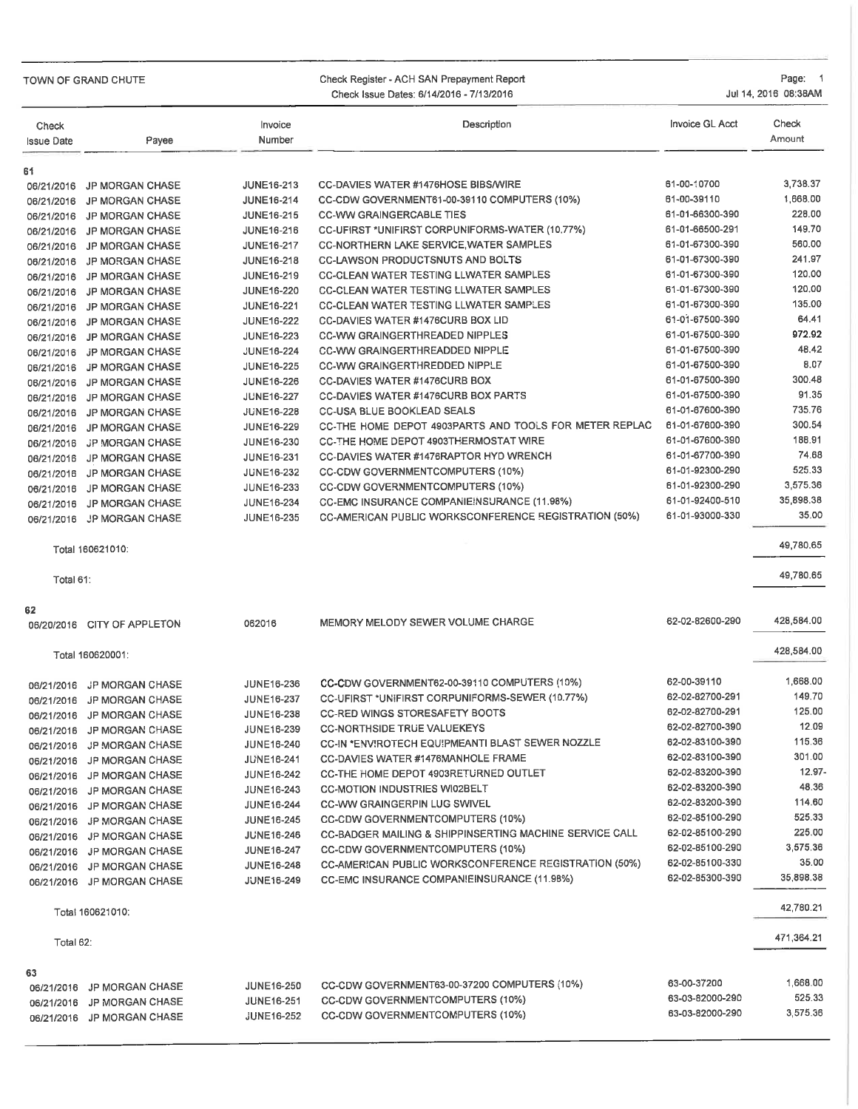| TOWN OF GRAND CHUTE | Check Register - ACH SAN Prepayment Report |  |
|---------------------|--------------------------------------------|--|
|                     | Check Issue Dates: 6/14/2016 - 7/13/2016   |  |

Page: 1 Jul 14, 2016 08:38AM

| Check<br><b>Issue Date</b> | Payee                       | Invoice<br>Number | Description                                             | Invoice GL Acct | Check<br>Amount |
|----------------------------|-----------------------------|-------------------|---------------------------------------------------------|-----------------|-----------------|
| 61                         |                             |                   |                                                         |                 |                 |
| 06/21/2016                 | <b>JP MORGAN CHASE</b>      | JUNE16-213        | <b>CC-DAVIES WATER #1476HOSE BIBS/WIRE</b>              | 61-00-10700     | 3,738.37        |
| 06/21/2016                 | <b>JP MORGAN CHASE</b>      | <b>JUNE16-214</b> | CC-CDW GOVERNMENT61-00-39110 COMPUTERS (10%)            | 61-00-39110     | 1,668.00        |
| 06/21/2016                 | <b>JP MORGAN CHASE</b>      | JUNE16-215        | <b>CC-WW GRAINGERCABLE TIES</b>                         | 61-01-66300-390 | 228.00          |
| 06/21/2016                 | <b>JP MORGAN CHASE</b>      | JUNE16-216        | CC-UFIRST *UNIFIRST CORPUNIFORMS-WATER (10.77%)         | 61-01-66500-291 | 149.70          |
| 06/21/2016                 | <b>JP MORGAN CHASE</b>      | JUNE16-217        | <b>CC-NORTHERN LAKE SERVICE, WATER SAMPLES</b>          | 61-01-67300-390 | 560.00          |
| 06/21/2016                 | <b>JP MORGAN CHASE</b>      | <b>JUNE16-218</b> | <b>CC-LAWSON PRODUCTSNUTS AND BOLTS</b>                 | 61-01-67300-390 | 241.97          |
| 06/21/2016                 | <b>JP MORGAN CHASE</b>      | <b>JUNE16-219</b> | <b>CC-CLEAN WATER TESTING LLWATER SAMPLES</b>           | 61-01-67300-390 | 120.00          |
| 06/21/2016                 | <b>JP MORGAN CHASE</b>      | <b>JUNE16-220</b> | <b>CC-CLEAN WATER TESTING LLWATER SAMPLES</b>           | 61-01-67300-390 | 120.00          |
| 06/21/2016                 | <b>JP MORGAN CHASE</b>      | <b>JUNE16-221</b> | <b>CC-CLEAN WATER TESTING LLWATER SAMPLES</b>           | 61-01-67300-390 | 135.00          |
| 06/21/2016                 | <b>JP MORGAN CHASE</b>      | <b>JUNE16-222</b> | CC-DAVIES WATER #1476CURB BOX LID                       | 61-01-67500-390 | 64.41           |
| 06/21/2016                 | <b>JP MORGAN CHASE</b>      | <b>JUNE16-223</b> | <b>CC-WW GRAINGERTHREADED NIPPLES</b>                   | 61-01-67500-390 | 972.92          |
|                            | 06/21/2016 JP MORGAN CHASE  | <b>JUNE16-224</b> | <b>CC-WW GRAINGERTHREADDED NIPPLE</b>                   | 61-01-67500-390 | 48.42           |
| 06/21/2016                 | <b>JP MORGAN CHASE</b>      | <b>JUNE16-225</b> | <b>CC-WW GRAINGERTHREDDED NIPPLE</b>                    | 61-01-67500-390 | 8.07            |
| 06/21/2016                 | <b>JP MORGAN CHASE</b>      | <b>JUNE16-226</b> | <b>CC-DAVIES WATER #1476CURB BOX</b>                    | 61-01-67500-390 | 300.48          |
| 06/21/2016                 | JP MORGAN CHASE             | <b>JUNE16-227</b> | <b>CC-DAVIES WATER #1476CURB BOX PARTS</b>              | 61-01-67500-390 | 91.35           |
|                            | 06/21/2016 JP MORGAN CHASE  | <b>JUNE16-228</b> | CC-USA BLUE BOOKLEAD SEALS                              | 61-01-67600-390 | 735.76          |
| 06/21/2016                 | <b>JP MORGAN CHASE</b>      | <b>JUNE16-229</b> | CC-THE HOME DEPOT 4903PARTS AND TOOLS FOR METER REPLAC  | 61-01-67600-390 | 300.54          |
| 06/21/2016                 | <b>JP MORGAN CHASE</b>      | <b>JUNE16-230</b> | CC-THE HOME DEPOT 4903THERMOSTAT WIRE                   | 61-01-67600-390 | 188.91          |
| 06/21/2016                 | <b>JP MORGAN CHASE</b>      | <b>JUNE16-231</b> | CC-DAVIES WATER #1476RAPTOR HYD WRENCH                  | 61-01-67700-390 | 74.68           |
| 06/21/2016                 | <b>JP MORGAN CHASE</b>      | <b>JUNE16-232</b> | <b>CC-CDW GOVERNMENTCOMPUTERS (10%)</b>                 | 61-01-92300-290 | 525.33          |
|                            | 06/21/2016 JP MORGAN CHASE  | JUNE16-233        | <b>CC-CDW GOVERNMENTCOMPUTERS (10%)</b>                 | 61-01-92300-290 | 3,575.36        |
| 06/21/2016                 | <b>JP MORGAN CHASE</b>      | <b>JUNE16-234</b> | CC-EMC INSURANCE COMPANIE!NSURANCE (11.98%)             | 61-01-92400-510 | 35,898.38       |
| 06/21/2016                 | JP MORGAN CHASE             | JUNE16-235        | CC-AMERICAN PUBLIC WORKSCONFERENCE REGISTRATION (50%)   | 61-01-93000-330 | 35.00           |
|                            | Total 160621010:            |                   |                                                         |                 | 49,780.65       |
| Total 61:                  |                             |                   |                                                         |                 | 49,780.65       |
| 62                         |                             |                   |                                                         |                 |                 |
|                            | 06/20/2016 CITY OF APPLETON | 062016            | MEMORY MELODY SEWER VOLUME CHARGE                       | 62-02-82600-290 | 428,584.00      |
|                            | Total 160620001:            |                   |                                                         |                 | 428,584.00      |
| 06/21/2016                 | <b>JP MORGAN CHASE</b>      | <b>JUNE16-236</b> | CC-CDW GOVERNMENT62-00-39110 COMPUTERS (10%)            | 62-00-39110     | 1,668.00        |
| 06/21/2016                 | <b>JP MORGAN CHASE</b>      | <b>JUNE16-237</b> | CC-UFIRST *UNIFIRST CORPUNIFORMS-SEWER (10.77%)         | 62-02-82700-291 | 149.70          |
|                            | 06/21/2016 JP MORGAN CHASE  | JUNE16-238        | <b>CC-RED WINGS STORESAFETY BOOTS</b>                   | 62-02-82700-291 | 125.00          |
|                            | 06/21/2016 JP MORGAN CHASE  | JUNE16-239        | <b>CC-NORTHSIDE TRUE VALUEKEYS</b>                      | 62-02-82700-390 | 12.09           |
|                            | 06/21/2016 JP MORGAN CHASE  | <b>JUNE16-240</b> | CC-IN *ENVIROTECH EQUIPMEANTI BLAST SEWER NOZZLE        | 62-02-83100-390 | 115.36          |
|                            | 06/21/2016 JP MORGAN CHASE  | <b>JUNE16-241</b> | <b>CC-DAVIES WATER #1476MANHOLE FRAME</b>               | 62-02-83100-390 | 301.00          |
|                            | 06/21/2016 JP MORGAN CHASE  | <b>JUNE16-242</b> | <b>CC-THE HOME DEPOT 4903RETURNED OUTLET</b>            | 62-02-83200-390 | 12.97-          |
|                            | 06/21/2016 JP MORGAN CHASE  | <b>JUNE16-243</b> | <b>CC-MOTION INDUSTRIES WI02BELT</b>                    | 62-02-83200-390 | 48.36           |
|                            | 06/21/2016 JP MORGAN CHASE  | <b>JUNE16-244</b> | <b>CC-WW GRAINGERPIN LUG SWIVEL</b>                     | 62-02-83200-390 | 114.60          |
|                            | 06/21/2016 JP MORGAN CHASE  | <b>JUNE16-245</b> | CC-CDW GOVERNMENTCOMPUTERS (10%)                        | 62-02-85100-290 | 525.33          |
|                            | 06/21/2016 JP MORGAN CHASE  | <b>JUNE16-246</b> | CC-BADGER MAILING & SHIPPINSERTING MACHINE SERVICE CALL | 62-02-85100-290 | 225.00          |
|                            | 06/21/2016 JP MORGAN CHASE  | <b>JUNE16-247</b> | CC-CDW GOVERNMENTCOMPUTERS (10%)                        | 62-02-85100-290 | 3,575.36        |
|                            | 06/21/2016 JP MORGAN CHASE  | <b>JUNE16-248</b> | CC-AMERICAN PUBLIC WORKSCONFERENCE REGISTRATION (50%)   | 62-02-85100-330 | 35.00           |
|                            | 06/21/2016 JP MORGAN CHASE  | <b>JUNE16-249</b> | CC-EMC INSURANCE COMPANIEINSURANCE (11.98%)             | 62-02-85300-390 | 35,898.38       |
|                            | Total 160621010:            |                   |                                                         |                 | 42,780.21       |
| Total 62:                  |                             |                   |                                                         |                 | 471,364.21      |
| 63                         |                             |                   |                                                         |                 |                 |
|                            | 06/21/2016 JP MORGAN CHASE  | <b>JUNE16-250</b> | CC-CDW GOVERNMENT63-00-37200 COMPUTERS (10%)            | 63-00-37200     | 1,668.00        |
|                            | 06/21/2016 JP MORGAN CHASE  | <b>JUNE16-251</b> | CC-CDW GOVERNMENTCOMPUTERS (10%)                        | 63-03-82000-290 | 525.33          |
|                            | 06/21/2016 JP MORGAN CHASE  | <b>JUNE16-252</b> | CC-CDW GOVERNMENTCOMPUTERS (10%)                        | 63-03-82000-290 | 3,575.36        |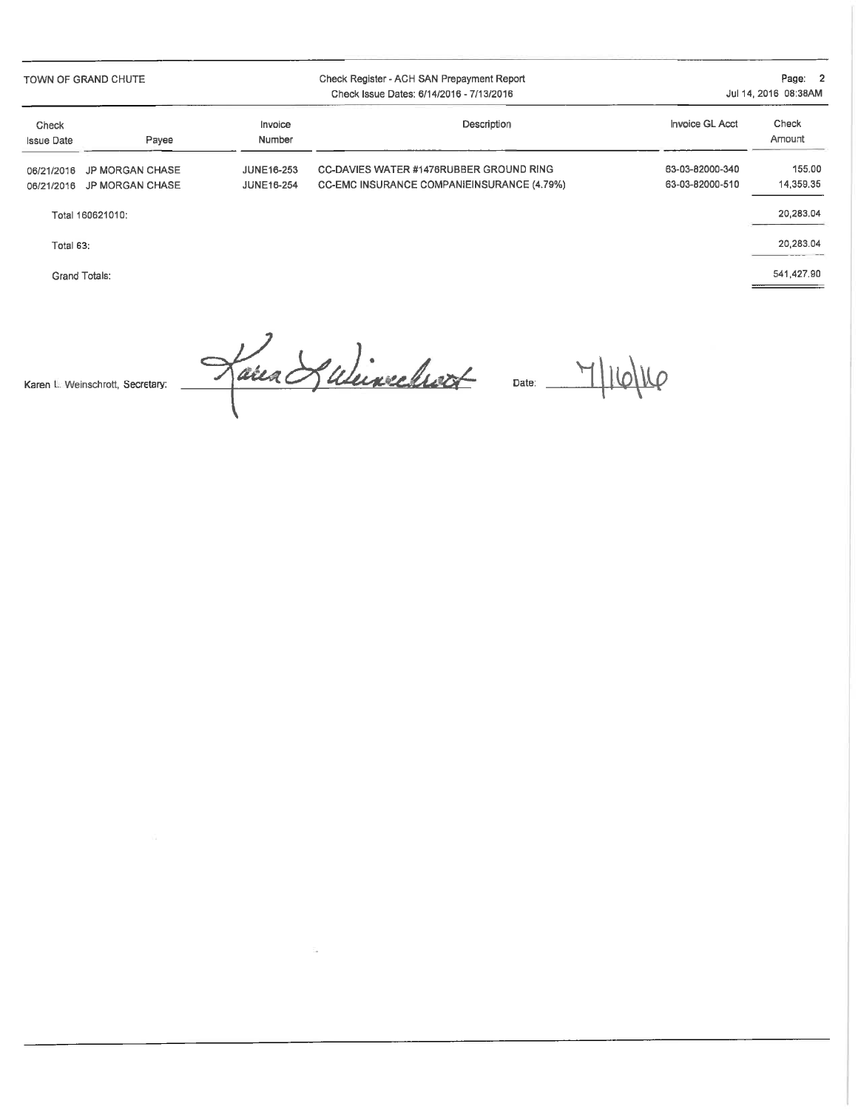TOWN OF GRAND CHUTE

#### Check Register - ACH SAN Prepayment Report Check Issue Dates: 6/14/2016 - 7/13/2016

Page: 2 Jul 14, 2016 08:38AM

| Check<br><b>Issue Date</b> | Pavee                      | Invoice<br>Number | Description                                | Invoice GL Acct | Check<br>Amount |
|----------------------------|----------------------------|-------------------|--------------------------------------------|-----------------|-----------------|
|                            | 06/21/2016 JP MORGAN CHASE | <b>JUNE16-253</b> | CC-DAVIES WATER #1476RUBBER GROUND RING    | 63-03-82000-340 | 155.00          |
|                            | 06/21/2016 JP MORGAN CHASE | JUNE16-254        | CC-EMC INSURANCE COMPANIEINSURANCE (4.79%) | 63-03-82000-510 | 14.359.35       |

Total 160621010:

Total 63:

Grand Totals:

20,283.04

20,283.04

541,427.90

Lana Subinechool du M16/16 Karen L. Weinschrott, Secretary: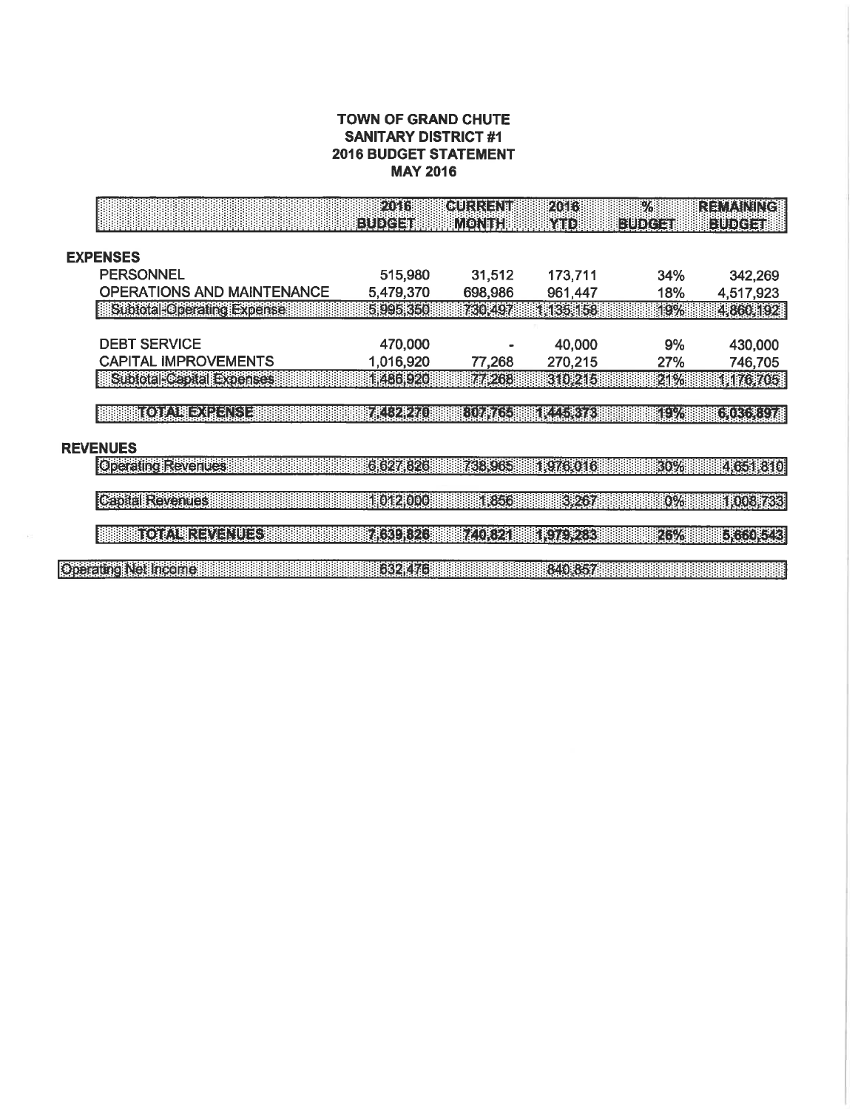#### TOWN OF GRAND CHUTE **SANITARY DISTRICT #1 2016 BUDGET STATEMENT MAY 2016**

|                                   | F 41 6<br><b>BUDGET</b>     | (durinalum<br>MONTH | 2016<br>MID        | $\frac{9}{2}$<br>BUDGETI | <b>REMAINING</b><br>EUDGET |
|-----------------------------------|-----------------------------|---------------------|--------------------|--------------------------|----------------------------|
|                                   |                             |                     |                    |                          |                            |
| <b>EXPENSES</b>                   |                             |                     |                    |                          |                            |
| <b>PERSONNEL</b>                  | 515,980                     | 31,512              | 173,711            | 34%                      | 342,269                    |
| <b>OPERATIONS AND MAINTENANCE</b> | 5,479,370                   | 698,986             | 961,447            | 18%                      | 4,517,923                  |
| Subtotal Operating Expense        | 5995350                     | 730,497             | 1,135,158          | 19%                      | 4,860,192                  |
| <b>DEBT SERVICE</b>               | 470,000                     |                     | 40,000             | 9%                       | 430,000                    |
| <b>CAPITAL IMPROVEMENTS</b>       | 1,016,920                   | 77,268              | 270,215            | 27%                      | 746,705                    |
| Subtotal Capital Experises        | 1486,920                    | 77,268              | ridpilt            | 21%                      | (相応死に非                     |
|                                   |                             |                     |                    |                          |                            |
| 1007.明亮的日本                        | 迷びを通                        | <b>EDRACE</b>       | <b>IRLEE IEI</b>   | neva                     | <b>EARCACEA</b>            |
| <b>REVENUES</b>                   |                             |                     |                    |                          |                            |
|                                   |                             |                     |                    |                          |                            |
| <b>Operating Revenues</b>         | 6 627 826                   | 738,965             | 11976.0161         | 30%                      |                            |
| <b>Capital Revenues</b>           | 1012000                     | 1,856               | 3.267              | 0%                       |                            |
| <b>FOUNDREADERS</b>               |                             |                     |                    |                          | 4,651,810<br><b>INGRAS</b> |
|                                   | <b>FACELLEZE</b><br>632 476 | <b>MIEZI</b>        | IKTERBI<br>840,857 | 26%                      | EKINGERI                   |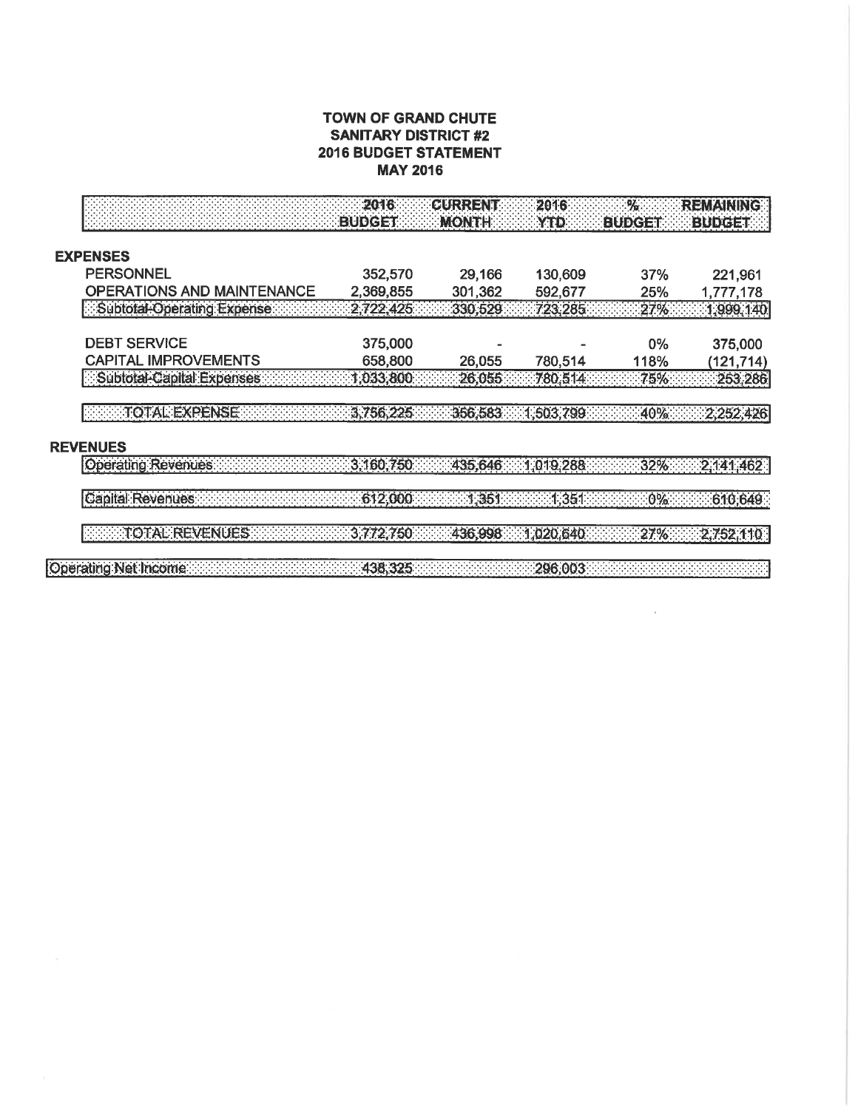#### TOWN OF GRAND CHUTE **SANITARY DISTRICT #2 2016 BUDGET STATEMENT MAY 2016**

|                                   | 2016<br><b>BUDGET</b> | <b>CURRENT</b><br><b>MONTH</b> | 2016<br><b>YTD</b> | %<br><b>BUDGET!</b> | <b>REMAINING</b><br><b>BUDGET</b> |
|-----------------------------------|-----------------------|--------------------------------|--------------------|---------------------|-----------------------------------|
| <b>EXPENSES</b>                   |                       |                                |                    |                     |                                   |
| <b>PERSONNEL</b>                  | 352,570               | 29,166                         | 130,609            | 37%                 | 221,961                           |
| <b>OPERATIONS AND MAINTENANCE</b> | 2,369,855             | 301,362                        | 592,677            | 25%                 | 1,777,178                         |
| Subtotal-Operating Expense        | 2,722,425             | 330,529                        | 723.285            | 27%                 | 1,999,140                         |
| <b>DEBT SERVICE</b>               | 375,000               |                                |                    | $0\%$               | 375,000                           |
| <b>CAPITAL IMPROVEMENTS</b>       | 658,800               | 26,055                         | 780,514            | 118%                | (121,714)                         |
| Subtotal-Capital Expenses         | 1,033,800             | 26,055                         | 780,514            | 75%                 | 253,286                           |
| TOTAL EXPENSE<br><b>REVENUES</b>  | 3,756,225             | 356,583                        | (1,503,799)        | 40%                 | 2,252,426                         |
| Operating Revenues                | 3,160,750             | 435,646                        | 1.019.288          | 32%                 | 2,141,462                         |
| Capital Revenues:                 | 612,000               | 1,351                          | 1,351              | $.0\%$              | 610,649                           |
| TOTAL REVENUES                    | 3,772,750             | 436,998                        | 1,020,640          | 27%                 | 2,752,110                         |
| Operating Net Income              | 438,325               |                                | 296,003            |                     |                                   |

 $\mathcal{L}^{\text{max}}$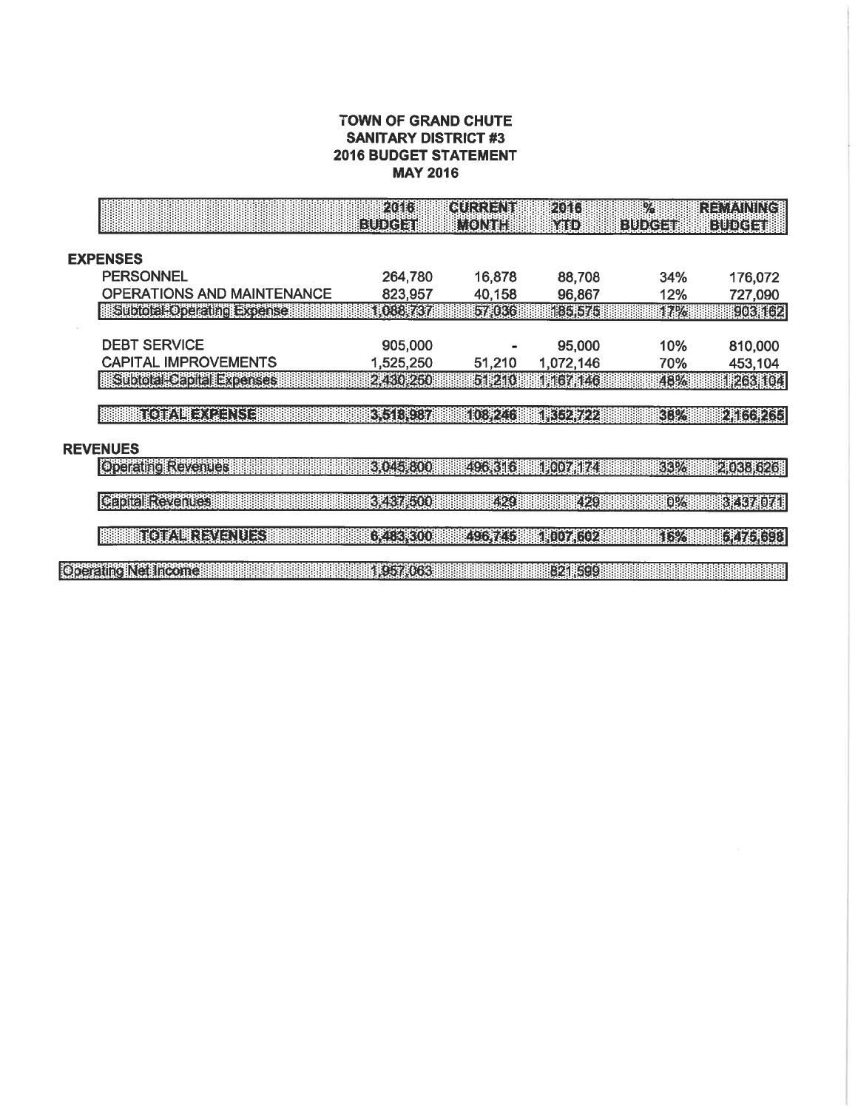#### TOWN OF GRAND CHUTE **SANITARY DISTRICT #3 2016 BUDGET STATEMENT MAY 2016**

|                                                    | 2016<br>EUDCEI         | GURRENT<br>MONTH | 2016<br>YTD            | $\frac{1}{2}$<br><b>EUDCET</b> | <b>REMAINING</b><br>EUDCET            |
|----------------------------------------------------|------------------------|------------------|------------------------|--------------------------------|---------------------------------------|
|                                                    |                        |                  |                        |                                |                                       |
| <b>EXPENSES</b>                                    |                        |                  |                        |                                |                                       |
| <b>PERSONNEL</b>                                   | 264,780                | 16,878           | 88,708                 | 34%                            | 176,072                               |
| OPERATIONS AND MAINTENANCE                         | 823,957                | 40,158           | 96,867                 | 12%                            | 727,090                               |
| Subtotal Operating Expense                         | 1,088,737              | 57,036           | 18615751               | 17%                            | <b>POENDER</b>                        |
|                                                    |                        |                  |                        |                                |                                       |
| <b>DEBT SERVICE</b><br><b>CAPITAL IMPROVEMENTS</b> | 905,000                |                  | 95,000                 | 10%                            | 810,000                               |
| <b>Stood to dialexienses</b>                       | 1,525,250<br>288012501 | 51,210<br>51,210 | 1,072,146<br>1:167:146 | 70%<br>48%                     | 453,104<br><b>IPANICI</b>             |
|                                                    |                        |                  |                        |                                |                                       |
| <b>FOLLOWED AND ALL AND</b>                        | <b>ERSTERBER</b>       | <b>INGEZIO</b>   | 眼球形                    | <b>REPA</b>                    | <b>ENICEREE</b>                       |
|                                                    |                        |                  |                        |                                |                                       |
| <b>REVENUES</b>                                    |                        |                  |                        |                                |                                       |
| <b>Operating Revenues</b>                          | 310451800              | 496,316          | 110071174              | 33%                            |                                       |
|                                                    |                        |                  |                        |                                |                                       |
|                                                    |                        |                  |                        |                                |                                       |
| <b>Capital Revenues</b>                            | 3.437,500              | 429              | 429                    | 0%                             |                                       |
|                                                    |                        |                  |                        |                                |                                       |
| <b>ROFUELLATELITES</b>                             | EXEBROO                | <b>ERSFZUJ</b>   | <b>ENGELSOZ</b>        | KRZ                            |                                       |
| Operating Net Income                               | 1,957,063              |                  | <b>B21</b> 599         |                                | 2038 626<br><b>EXECTED</b><br>REACH B |